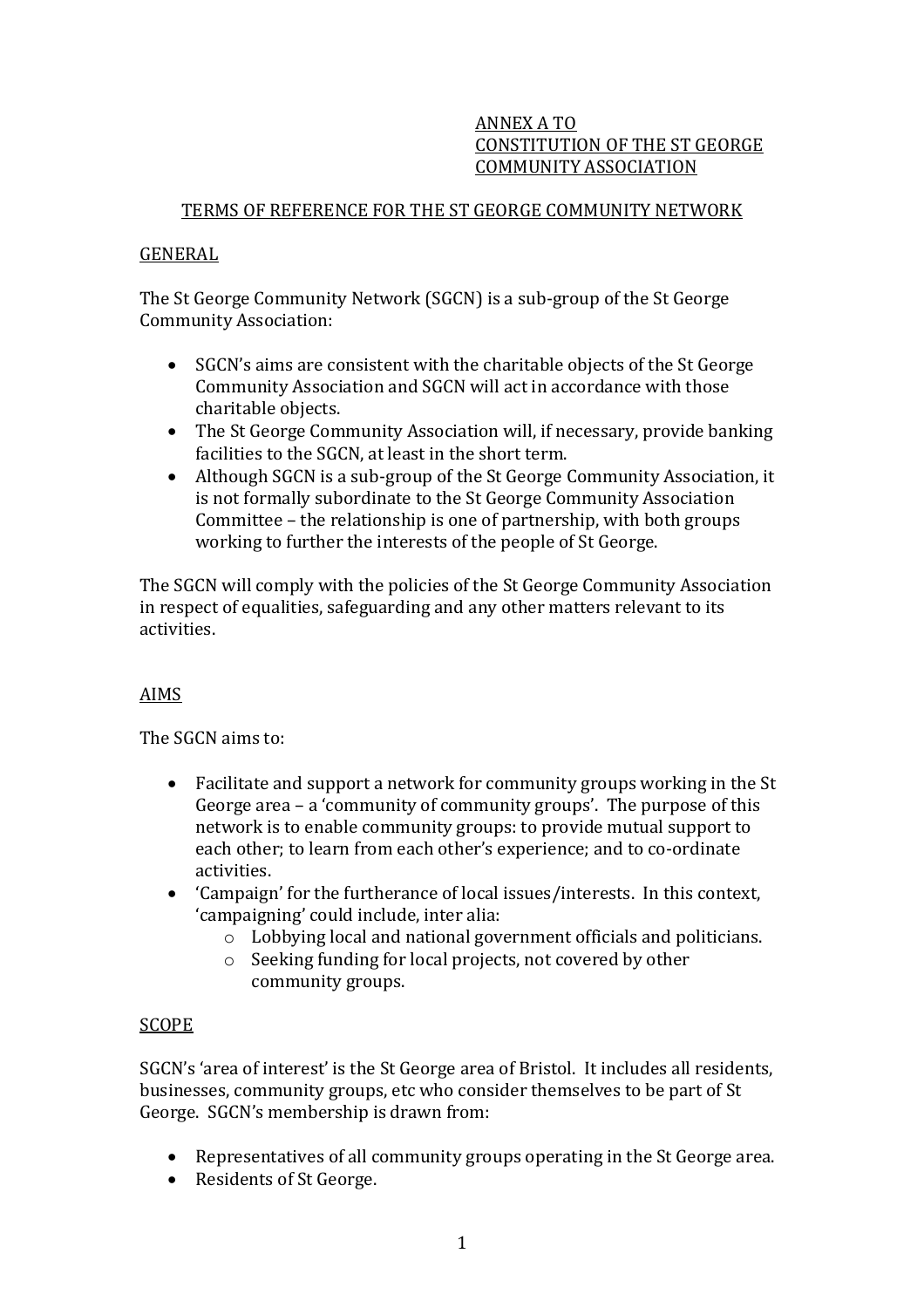## ANNEX A TO CONSTITUTION OF THE ST GEORGE COMMUNITY ASSOCIATION

# TERMS OF REFERENCE FOR THE ST GEORGE COMMUNITY NETWORK

## GENERAL

The St George Community Network (SGCN) is a sub-group of the St George Community Association:

- SGCN's aims are consistent with the charitable objects of the St George Community Association and SGCN will act in accordance with those charitable objects.
- The St George Community Association will, if necessary, provide banking facilities to the SGCN, at least in the short term.
- Although SGCN is a sub-group of the St George Community Association, it is not formally subordinate to the St George Community Association Committee – the relationship is one of partnership, with both groups working to further the interests of the people of St George.

The SGCN will comply with the policies of the St George Community Association in respect of equalities, safeguarding and any other matters relevant to its activities.

## AIMS

The SGCN aims to:

- Facilitate and support a network for community groups working in the St George area – a 'community of community groups'. The purpose of this network is to enable community groups: to provide mutual support to each other; to learn from each other's experience; and to co-ordinate activities.
- 'Campaign' for the furtherance of local issues/interests. In this context, 'campaigning' could include, inter alia:
	- o Lobbying local and national government officials and politicians.
	- o Seeking funding for local projects, not covered by other community groups.

## SCOPE

SGCN's 'area of interest' is the St George area of Bristol. It includes all residents, businesses, community groups, etc who consider themselves to be part of St George. SGCN's membership is drawn from:

- Representatives of all community groups operating in the St George area.
- Residents of St George.